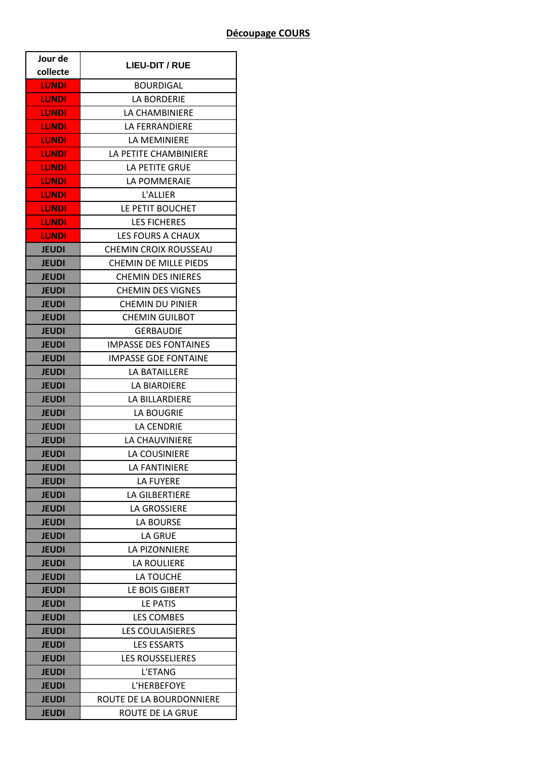| Jour de      | <b>LIEU-DIT / RUE</b>        |
|--------------|------------------------------|
| collecte     |                              |
| <b>LUNDI</b> | <b>BOURDIGAL</b>             |
| <b>LUNDI</b> | <b>LA BORDERIE</b>           |
| <b>LUNDI</b> | LA CHAMBINIERE               |
| LUNDI        | LA FERRANDIERE               |
| LUNDI        | LA MEMINIERE                 |
| <b>LUNDI</b> | LA PETITE CHAMBINIERE        |
| <b>LUNDI</b> | <b>LA PETITE GRUE</b>        |
| <b>LUNDI</b> | LA POMMERAIE                 |
| <b>LUNDI</b> | <b>L'ALLIER</b>              |
| <b>LUNDI</b> | LE PETIT BOUCHET             |
| <b>LUNDI</b> | <b>LES FICHERES</b>          |
| <b>LUNDI</b> | LES FOURS A CHAUX            |
| <b>JEUDI</b> | <b>CHEMIN CROIX ROUSSEAU</b> |
| <b>JEUDI</b> | <b>CHEMIN DE MILLE PIEDS</b> |
| <b>JEUDI</b> | <b>CHEMIN DES INIERES</b>    |
| JEUDI        | <b>CHEMIN DES VIGNES</b>     |
| <b>JEUDI</b> | <b>CHEMIN DU PINIER</b>      |
| <b>JEUDI</b> | <b>CHEMIN GUILBOT</b>        |
| <b>JEUDI</b> | <b>GERBAUDIE</b>             |
| <b>JEUDI</b> | IMPASSE DES FONTAINES        |
| <b>JEUDI</b> | <b>IMPASSE GDE FONTAINE</b>  |
| <b>JEUDI</b> | LA BATAILLERE                |
| <b>JEUDI</b> | LA BIARDIERE                 |
| <b>JEUDI</b> | LA BILLARDIERE               |
| <b>JEUDI</b> | LA BOUGRIE                   |
| <b>JEUDI</b> | <b>LA CENDRIE</b>            |
| <b>JEUDI</b> | <b>LA CHAUVINIERE</b>        |
| <b>JEUDI</b> | LA COUSINIERE                |
| <b>JEUDI</b> | <b>LA FANTINIERE</b>         |
| <b>JEUDI</b> | <b>LA FUYERE</b>             |
| <b>JEUDI</b> | <b>LA GILBERTIERE</b>        |
| <b>JEUDI</b> | <b>LA GROSSIERE</b>          |
| <b>JEUDI</b> | LA BOURSE                    |
| <b>JEUDI</b> | LA GRUE                      |
| <b>JEUDI</b> | <b>LA PIZONNIERE</b>         |
| <b>JEUDI</b> | LA ROULIERE                  |
| <b>JEUDI</b> | LA TOUCHE                    |
| <b>JEUDI</b> | LE BOIS GIBERT               |
| <b>JEUDI</b> | LE PATIS                     |
| <b>JEUDI</b> | LES COMBES                   |
| <b>JEUDI</b> | <b>LES COULAISIERES</b>      |
| <b>JEUDI</b> | <b>LES ESSARTS</b>           |
| <b>JEUDI</b> | <b>LES ROUSSELIERES</b>      |
| <b>JEUDI</b> | L'ETANG                      |
| <b>JEUDI</b> | L'HERBEFOYE                  |
| <b>JEUDI</b> | ROUTE DE LA BOURDONNIERE     |
| <b>JEUDI</b> | ROUTE DE LA GRUE             |